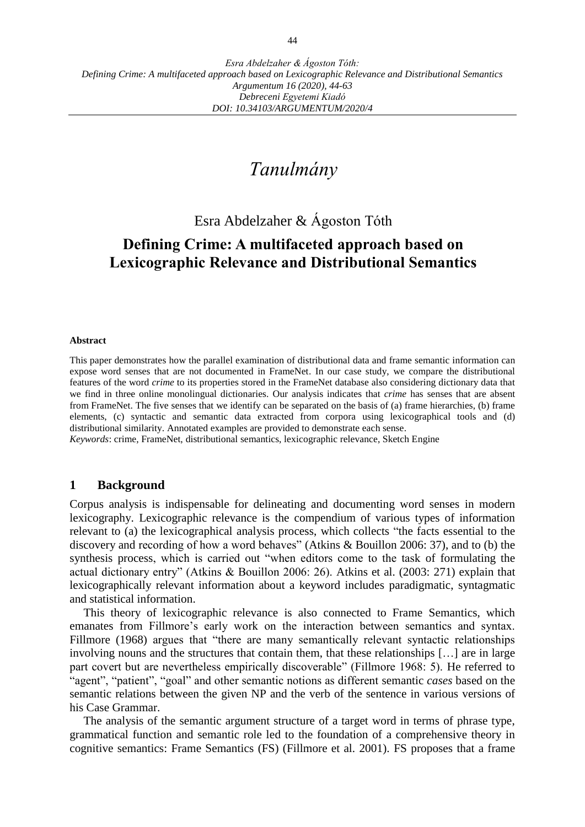# *Tanulmány*

Esra Abdelzaher & Ágoston Tóth

## **Defining Crime: A multifaceted approach based on Lexicographic Relevance and Distributional Semantics**

#### **Abstract**

This paper demonstrates how the parallel examination of distributional data and frame semantic information can expose word senses that are not documented in FrameNet. In our case study, we compare the distributional features of the word *crime* to its properties stored in the FrameNet database also considering dictionary data that we find in three online monolingual dictionaries. Our analysis indicates that *crime* has senses that are absent from FrameNet. The five senses that we identify can be separated on the basis of (a) frame hierarchies, (b) frame elements, (c) syntactic and semantic data extracted from corpora using lexicographical tools and (d) distributional similarity. Annotated examples are provided to demonstrate each sense.

*Keywords*: crime, FrameNet, distributional semantics, lexicographic relevance, Sketch Engine

#### **1 Background**

Corpus analysis is indispensable for delineating and documenting word senses in modern lexicography. Lexicographic relevance is the compendium of various types of information relevant to (a) the lexicographical analysis process, which collects "the facts essential to the discovery and recording of how a word behaves" (Atkins & Bouillon 2006: 37), and to (b) the synthesis process, which is carried out "when editors come to the task of formulating the actual dictionary entry" (Atkins & Bouillon 2006: 26). Atkins et al. (2003: 271) explain that lexicographically relevant information about a keyword includes paradigmatic, syntagmatic and statistical information.

This theory of lexicographic relevance is also connected to Frame Semantics, which emanates from Fillmore's early work on the interaction between semantics and syntax. Fillmore (1968) argues that "there are many semantically relevant syntactic relationships involving nouns and the structures that contain them, that these relationships […] are in large part covert but are nevertheless empirically discoverable" (Fillmore 1968: 5). He referred to "agent", "patient", "goal" and other semantic notions as different semantic *cases* based on the semantic relations between the given NP and the verb of the sentence in various versions of his Case Grammar.

The analysis of the semantic argument structure of a target word in terms of phrase type, grammatical function and semantic role led to the foundation of a comprehensive theory in cognitive semantics: Frame Semantics (FS) (Fillmore et al. 2001). FS proposes that a frame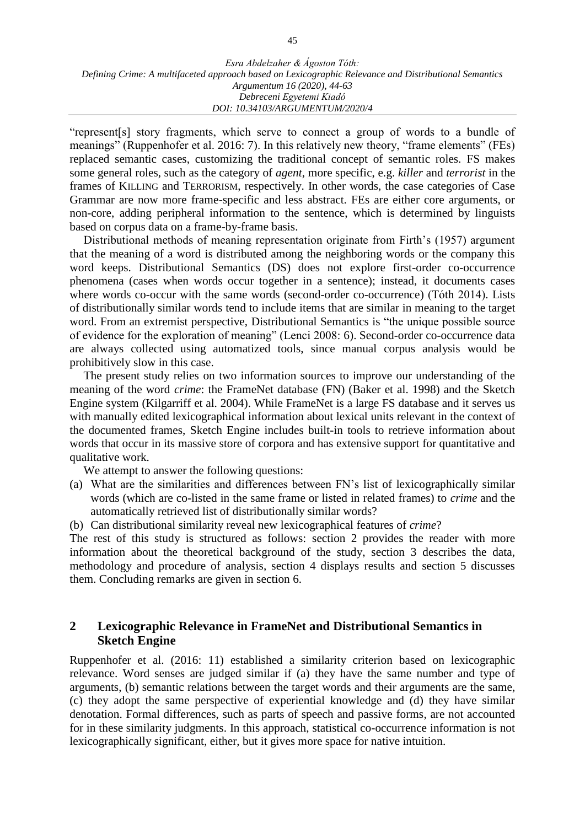"represent[s] story fragments, which serve to connect a group of words to a bundle of meanings" (Ruppenhofer et al. 2016: 7). In this relatively new theory, "frame elements" (FEs) replaced semantic cases, customizing the traditional concept of semantic roles. FS makes some general roles, such as the category of *agent*, more specific, e.g. *killer* and *terrorist* in the frames of KILLING and TERRORISM, respectively. In other words, the case categories of Case Grammar are now more frame-specific and less abstract. FEs are either core arguments, or non-core, adding peripheral information to the sentence, which is determined by linguists based on corpus data on a frame-by-frame basis.

Distributional methods of meaning representation originate from Firth's (1957) argument that the meaning of a word is distributed among the neighboring words or the company this word keeps. Distributional Semantics (DS) does not explore first-order co-occurrence phenomena (cases when words occur together in a sentence); instead, it documents cases where words co-occur with the same words (second-order co-occurrence) (Tóth 2014). Lists of distributionally similar words tend to include items that are similar in meaning to the target word. From an extremist perspective, Distributional Semantics is "the unique possible source of evidence for the exploration of meaning" (Lenci 2008: 6). Second-order co-occurrence data are always collected using automatized tools, since manual corpus analysis would be prohibitively slow in this case.

The present study relies on two information sources to improve our understanding of the meaning of the word *crime*: the FrameNet database (FN) (Baker et al. 1998) and the Sketch Engine system (Kilgarriff et al. 2004). While FrameNet is a large FS database and it serves us with manually edited lexicographical information about lexical units relevant in the context of the documented frames, Sketch Engine includes built-in tools to retrieve information about words that occur in its massive store of corpora and has extensive support for quantitative and qualitative work.

We attempt to answer the following questions:

- (a) What are the similarities and differences between FN's list of lexicographically similar words (which are co-listed in the same frame or listed in related frames) to *crime* and the automatically retrieved list of distributionally similar words?
- (b) Can distributional similarity reveal new lexicographical features of *crime*?

The rest of this study is structured as follows: section 2 provides the reader with more information about the theoretical background of the study, section 3 describes the data, methodology and procedure of analysis, section 4 displays results and section 5 discusses them. Concluding remarks are given in section 6.

## **2 Lexicographic Relevance in FrameNet and Distributional Semantics in Sketch Engine**

Ruppenhofer et al. (2016: 11) established a similarity criterion based on lexicographic relevance. Word senses are judged similar if (a) they have the same number and type of arguments, (b) semantic relations between the target words and their arguments are the same, (c) they adopt the same perspective of experiential knowledge and (d) they have similar denotation. Formal differences, such as parts of speech and passive forms, are not accounted for in these similarity judgments. In this approach, statistical co-occurrence information is not lexicographically significant, either, but it gives more space for native intuition.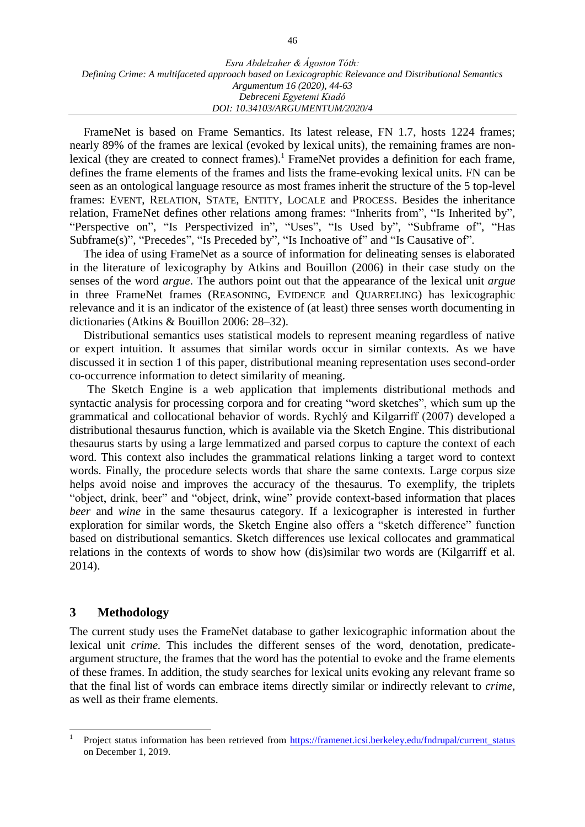FrameNet is based on Frame Semantics. Its latest release, FN 1.7, hosts 1224 frames; nearly 89% of the frames are lexical (evoked by lexical units), the remaining frames are nonlexical (they are created to connect frames).<sup>1</sup> FrameNet provides a definition for each frame, defines the frame elements of the frames and lists the frame-evoking lexical units. FN can be seen as an ontological language resource as most frames inherit the structure of the 5 top-level frames: EVENT, RELATION, STATE, ENTITY, LOCALE and PROCESS. Besides the inheritance relation, FrameNet defines other relations among frames: "Inherits from", "Is Inherited by", "Perspective on", "Is Perspectivized in", "Uses", "Is Used by", "Subframe of", "Has Subframe(s)", "Precedes", "Is Preceded by", "Is Inchoative of" and "Is Causative of".

The idea of using FrameNet as a source of information for delineating senses is elaborated in the literature of lexicography by Atkins and Bouillon (2006) in their case study on the senses of the word *argue*. The authors point out that the appearance of the lexical unit *argue* in three FrameNet frames (REASONING, EVIDENCE and QUARRELING) has lexicographic relevance and it is an indicator of the existence of (at least) three senses worth documenting in dictionaries (Atkins & Bouillon 2006: 28–32).

Distributional semantics uses statistical models to represent meaning regardless of native or expert intuition. It assumes that similar words occur in similar contexts. As we have discussed it in section 1 of this paper, distributional meaning representation uses second-order co-occurrence information to detect similarity of meaning.

The Sketch Engine is a web application that implements distributional methods and syntactic analysis for processing corpora and for creating "word sketches", which sum up the grammatical and collocational behavior of words. Rychlý and Kilgarriff (2007) developed a distributional thesaurus function, which is available via the Sketch Engine. This distributional thesaurus starts by using a large lemmatized and parsed corpus to capture the context of each word. This context also includes the grammatical relations linking a target word to context words. Finally, the procedure selects words that share the same contexts. Large corpus size helps avoid noise and improves the accuracy of the thesaurus. To exemplify, the triplets "object, drink, beer" and "object, drink, wine" provide context-based information that places *beer* and *wine* in the same thesaurus category. If a lexicographer is interested in further exploration for similar words, the Sketch Engine also offers a "sketch difference" function based on distributional semantics. Sketch differences use lexical collocates and grammatical relations in the contexts of words to show how (dis)similar two words are (Kilgarriff et al. 2014).

## **3 Methodology**

 $\overline{a}$ 

The current study uses the FrameNet database to gather lexicographic information about the lexical unit *crime.* This includes the different senses of the word, denotation, predicateargument structure, the frames that the word has the potential to evoke and the frame elements of these frames. In addition, the study searches for lexical units evoking any relevant frame so that the final list of words can embrace items directly similar or indirectly relevant to *crime,* as well as their frame elements.

<sup>1</sup> Project status information has been retrieved from [https://framenet.icsi.berkeley.edu/fndrupal/current\\_status](https://framenet.icsi.berkeley.edu/fndrupal/current_status) on December 1, 2019.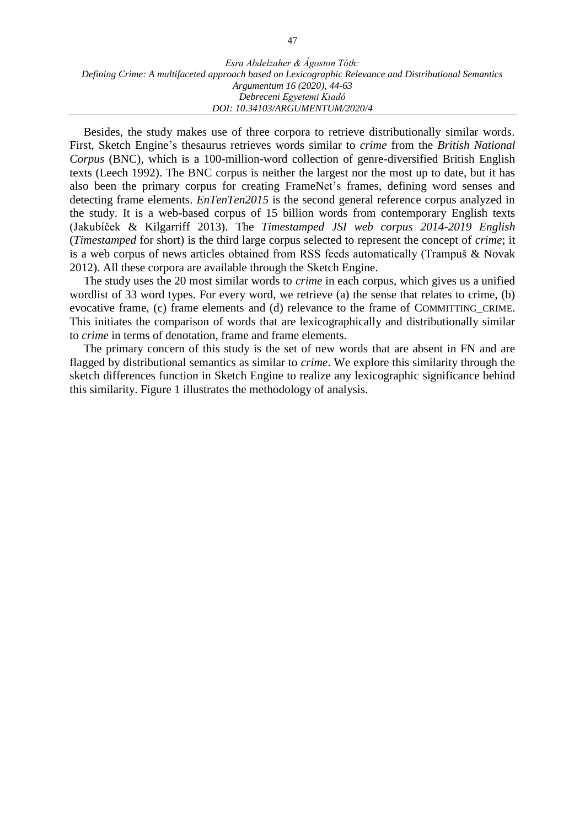Besides, the study makes use of three corpora to retrieve distributionally similar words. First, Sketch Engine's thesaurus retrieves words similar to *crime* from the *British National Corpus* (BNC), which is a 100-million-word collection of genre-diversified British English texts (Leech 1992). The BNC corpus is neither the largest nor the most up to date, but it has also been the primary corpus for creating FrameNet's frames, defining word senses and detecting frame elements. *EnTenTen2015* is the second general reference corpus analyzed in the study. It is a web-based corpus of 15 billion words from contemporary English texts (Jakubíček & Kilgarriff 2013). The *Timestamped JSI web corpus 2014-2019 English*  (*Timestamped* for short) is the third large corpus selected to represent the concept of *crime*; it is a web corpus of news articles obtained from RSS feeds automatically (Trampuš & Novak 2012). All these corpora are available through the Sketch Engine.

The study uses the 20 most similar words to *crime* in each corpus, which gives us a unified wordlist of 33 word types. For every word, we retrieve (a) the sense that relates to crime, (b) evocative frame, (c) frame elements and (d) relevance to the frame of COMMITTING\_CRIME. This initiates the comparison of words that are lexicographically and distributionally similar to *crime* in terms of denotation, frame and frame elements.

The primary concern of this study is the set of new words that are absent in FN and are flagged by distributional semantics as similar to *crime*. We explore this similarity through the sketch differences function in Sketch Engine to realize any lexicographic significance behind this similarity. Figure 1 illustrates the methodology of analysis.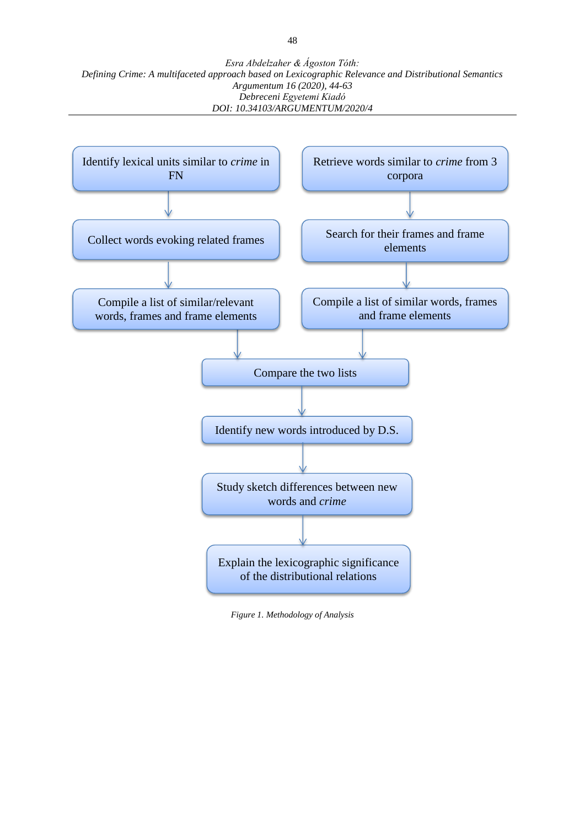

*Figure 1. Methodology of Analysis*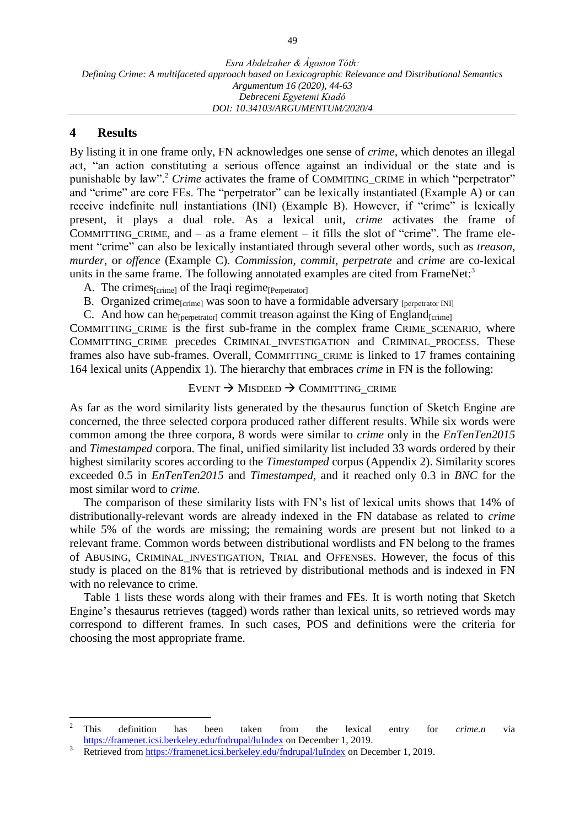#### **4 Results**

By listing it in one frame only, FN acknowledges one sense of *crime,* which denotes an illegal act, "an action constituting a serious offence against an individual or the state and is punishable by law". <sup>2</sup> *Crime* activates the frame of COMMITING\_CRIME in which "perpetrator" and "crime" are core FEs. The "perpetrator" can be lexically instantiated (Example A) or can receive indefinite null instantiations (INI) (Example B). However, if "crime" is lexically present, it plays a dual role. As a lexical unit, *crime* activates the frame of COMMITTING CRIME, and  $-$  as a frame element  $-$  it fills the slot of "crime". The frame element "crime" can also be lexically instantiated through several other words, such as *treason*, *murder*, or *offence* (Example C). *Commission, commit, perpetrate* and *crime* are co-lexical units in the same frame. The following annotated examples are cited from FrameNet:<sup>3</sup>

- A. The crimes $_{\text{[crime]}}$  of the Iraqi regime $_{\text{[Perpetrator]}}$
- B. Organized crime<sub>[crime]</sub> was soon to have a formidable adversary [perpetrator INI]
- C. And how can he<sup>[perpetrator]</sup> commit treason against the King of England<sub>[crime]</sub>

COMMITTING\_CRIME is the first sub-frame in the complex frame CRIME\_SCENARIO, where COMMITTING\_CRIME precedes CRIMINAL\_INVESTIGATION and CRIMINAL\_PROCESS. These frames also have sub-frames. Overall, COMMITTING\_CRIME is linked to 17 frames containing 164 lexical units (Appendix 1). The hierarchy that embraces *crime* in FN is the following:

#### EVENT  $\rightarrow$  MISDEED  $\rightarrow$  COMMITTING\_CRIME

As far as the word similarity lists generated by the thesaurus function of Sketch Engine are concerned, the three selected corpora produced rather different results. While six words were common among the three corpora, 8 words were similar to *crime* only in the *EnTenTen2015* and *Timestamped* corpora. The final, unified similarity list included 33 words ordered by their highest similarity scores according to the *Timestamped* corpus (Appendix 2). Similarity scores exceeded 0.5 in *EnTenTen2015* and *Timestamped,* and it reached only 0.3 in *BNC* for the most similar word to *crime.*

The comparison of these similarity lists with FN's list of lexical units shows that 14% of distributionally-relevant words are already indexed in the FN database as related to *crime*  while 5% of the words are missing; the remaining words are present but not linked to a relevant frame. Common words between distributional wordlists and FN belong to the frames of ABUSING, CRIMINAL\_INVESTIGATION, TRIAL and OFFENSES. However, the focus of this study is placed on the 81% that is retrieved by distributional methods and is indexed in FN with no relevance to crime.

Table 1 lists these words along with their frames and FEs. It is worth noting that Sketch Engine's thesaurus retrieves (tagged) words rather than lexical units, so retrieved words may correspond to different frames. In such cases, POS and definitions were the criteria for choosing the most appropriate frame.

 $\overline{2}$ <sup>2</sup> This definition has been taken from the lexical entry for *crime.n* via <https://framenet.icsi.berkeley.edu/fndrupal/luIndex> on December 1, 2019.

<sup>3</sup> Retrieved from<https://framenet.icsi.berkeley.edu/fndrupal/luIndex> on December 1, 2019.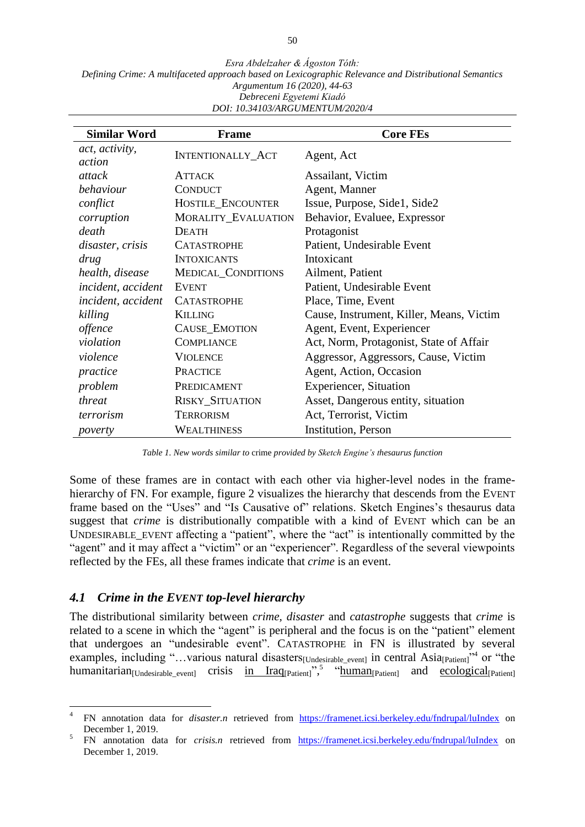| <b>Similar Word</b>       | <b>Frame</b>               | <b>Core FEs</b>                          |
|---------------------------|----------------------------|------------------------------------------|
| act, activity,<br>action  | <b>INTENTIONALLY_ACT</b>   | Agent, Act                               |
| attack                    | <b>ATTACK</b>              | Assailant, Victim                        |
| behaviour                 | <b>CONDUCT</b>             | Agent, Manner                            |
| conflict                  | <b>HOSTILE_ENCOUNTER</b>   | Issue, Purpose, Side1, Side2             |
| corruption                | <b>MORALITY_EVALUATION</b> | Behavior, Evaluee, Expressor             |
| death                     | <b>DEATH</b>               | Protagonist                              |
| disaster, crisis          | <b>CATASTROPHE</b>         | Patient, Undesirable Event               |
| drug                      | <b>INTOXICANTS</b>         | Intoxicant                               |
| health, disease           | MEDICAL_CONDITIONS         | Ailment, Patient                         |
| <i>incident, accident</i> | <b>EVENT</b>               | Patient, Undesirable Event               |
| <i>incident, accident</i> | <b>CATASTROPHE</b>         | Place, Time, Event                       |
| killing                   | <b>KILLING</b>             | Cause, Instrument, Killer, Means, Victim |
| offence                   | CAUSE_EMOTION              | Agent, Event, Experiencer                |
| violation                 | <b>COMPLIANCE</b>          | Act, Norm, Protagonist, State of Affair  |
| violence                  | <b>VIOLENCE</b>            | Aggressor, Aggressors, Cause, Victim     |
| practice                  | <b>PRACTICE</b>            | Agent, Action, Occasion                  |
| problem                   | PREDICAMENT                | <b>Experiencer, Situation</b>            |
| threat                    | <b>RISKY_SITUATION</b>     | Asset, Dangerous entity, situation       |
| terrorism                 | <b>TERRORISM</b>           | Act, Terrorist, Victim                   |
| poverty                   | WEALTHINESS                | <b>Institution</b> , Person              |

*Table 1. New words similar to* crime *provided by Sketch Engine's thesaurus function*

Some of these frames are in contact with each other via higher-level nodes in the framehierarchy of FN. For example, figure 2 visualizes the hierarchy that descends from the EVENT frame based on the "Uses" and "Is Causative of" relations. Sketch Engines's thesaurus data suggest that *crime* is distributionally compatible with a kind of EVENT which can be an UNDESIRABLE\_EVENT affecting a "patient", where the "act" is intentionally committed by the "agent" and it may affect a "victim" or an "experiencer". Regardless of the several viewpoints reflected by the FEs, all these frames indicate that *crime* is an event.

#### *4.1 Crime in the EVENT top-level hierarchy*

 $\overline{a}$ 

The distributional similarity between *crime, disaster* and *catastrophe* suggests that *crime* is related to a scene in which the "agent" is peripheral and the focus is on the "patient" element that undergoes an "undesirable event". CATASTROPHE in FN is illustrated by several examples, including "...various natural disasters<sub>[Undesirable\_event]</sub> in central Asia<sub>[Patient]</sub><sup>34</sup> or "the humanitarian<sub>[Undesirable\_event]</sub> crisis in Iraq<sub>[Patient]</sub>",<sup>5</sup> "human<sub>[Patient]</sub> and ecological<sub>[Patient]</sub>

<sup>4</sup> FN annotation data for *disaster.n* retrieved from <https://framenet.icsi.berkeley.edu/fndrupal/luIndex> on December 1, 2019.

<sup>5</sup> FN annotation data for *crisis.n* retrieved from <https://framenet.icsi.berkeley.edu/fndrupal/luIndex> on December 1, 2019.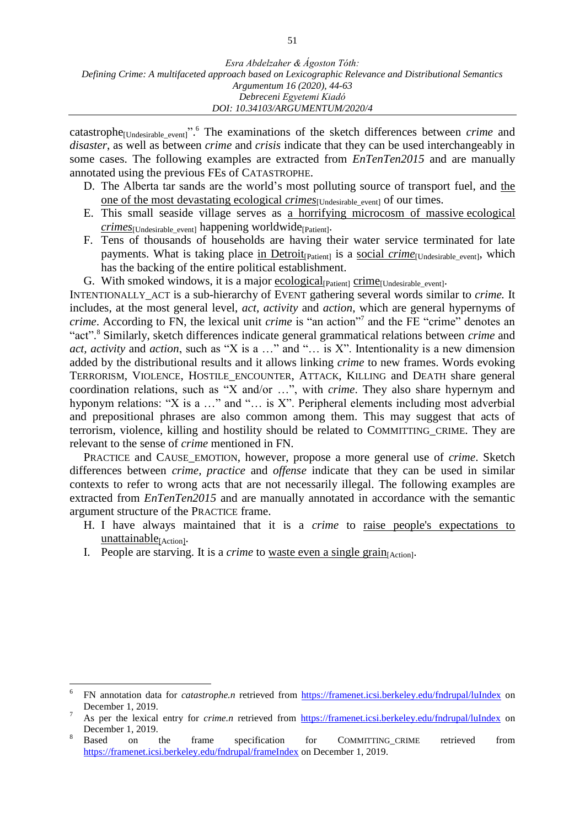catastrophe[Undesirable\_event]". <sup>6</sup> The examinations of the sketch differences between *crime* and *disaster*, as well as between *crime* and *crisis* indicate that they can be used interchangeably in some cases. The following examples are extracted from *EnTenTen2015* and are manually annotated using the previous FEs of CATASTROPHE.

- D. The Alberta tar sands are the world's most polluting source of transport fuel, and the one of the most devastating ecological *crimes*<sub>[Undesirable event]</sub> of our times.
- E. This small seaside village serves as a horrifying microcosm of massive ecological *crimes*[Undesirable\_event] happening worldwide[Patient].
- F. Tens of thousands of households are having their water service terminated for late payments. What is taking place in Detroit<sub>[Patient]</sub> is a social *crime*<sub>[Undesirable event], which</sub> has the backing of the entire political establishment.
- G. With smoked windows, it is a major ecological<sub>[Patient]</sub> crime<sub>[Undesirable\_event].</sub>

INTENTIONALLY\_ACT is a sub-hierarchy of EVENT gathering several words similar to *crime.* It includes, at the most general level, *act*, *activity* and *action*, which are general hypernyms of *crime*. According to FN, the lexical unit *crime* is "an action"<sup>7</sup> and the FE "crime" denotes an "act". 8 Similarly, sketch differences indicate general grammatical relations between *crime* and *act, activity* and *action*, such as "X is a …" and "… is X". Intentionality is a new dimension added by the distributional results and it allows linking *crime* to new frames. Words evoking TERRORISM, VIOLENCE, HOSTILE\_ENCOUNTER, ATTACK, KILLING and DEATH share general coordination relations, such as "X and/or …", with *crime*. They also share hypernym and hyponym relations: "X is a ..." and "... is X". Peripheral elements including most adverbial and prepositional phrases are also common among them. This may suggest that acts of terrorism, violence, killing and hostility should be related to COMMITTING\_CRIME. They are relevant to the sense of *crime* mentioned in FN.

PRACTICE and CAUSE\_EMOTION, however, propose a more general use of *crime*. Sketch differences between *crime, practice* and *offense* indicate that they can be used in similar contexts to refer to wrong acts that are not necessarily illegal. The following examples are extracted from *EnTenTen2015* and are manually annotated in accordance with the semantic argument structure of the PRACTICE frame.

- H. I have always maintained that it is a *crime* to raise people's expectations to unattainable<sub>[Action]</sub>.
- I. People are starving. It is a *crime* to <u>waste even a single grain<sub>[Action]</sub>.</u>

 $\overline{a}$ 

<sup>6</sup> FN annotation data for *catastrophe.n* retrieved from<https://framenet.icsi.berkeley.edu/fndrupal/luIndex> on December 1, 2019.

<sup>7</sup> As per the lexical entry for *crime.n* retrieved from<https://framenet.icsi.berkeley.edu/fndrupal/luIndex> on December 1, 2019.

<sup>&</sup>lt;sup>8</sup> Based on the frame specification for COMMITTING\_CRIME retrieved from <https://framenet.icsi.berkeley.edu/fndrupal/frameIndex> on December 1, 2019.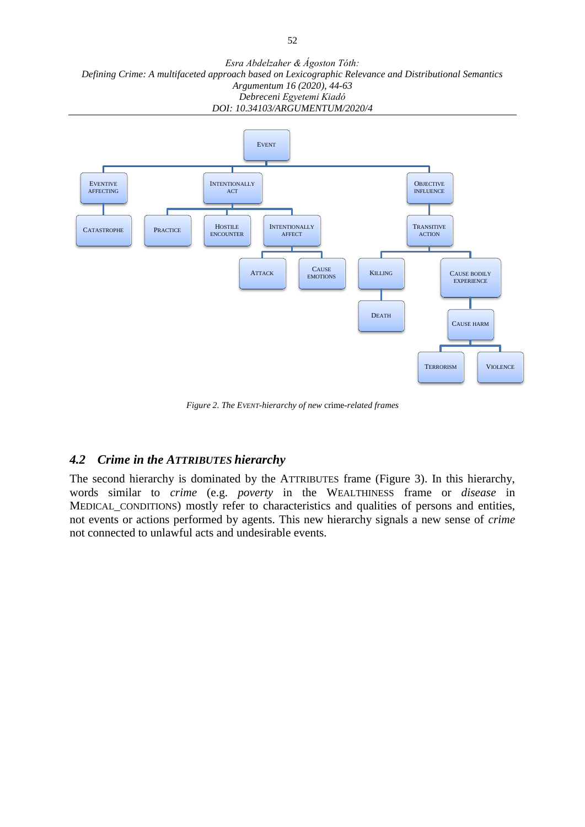

*Figure 2. The EVENT-hierarchy of new* crime*-related frames*

## *4.2 Crime in the ATTRIBUTES hierarchy*

The second hierarchy is dominated by the ATTRIBUTES frame (Figure 3). In this hierarchy, words similar to *crime* (e.g. *poverty* in the WEALTHINESS frame or *disease* in MEDICAL\_CONDITIONS) mostly refer to characteristics and qualities of persons and entities, not events or actions performed by agents. This new hierarchy signals a new sense of *crime*  not connected to unlawful acts and undesirable events*.*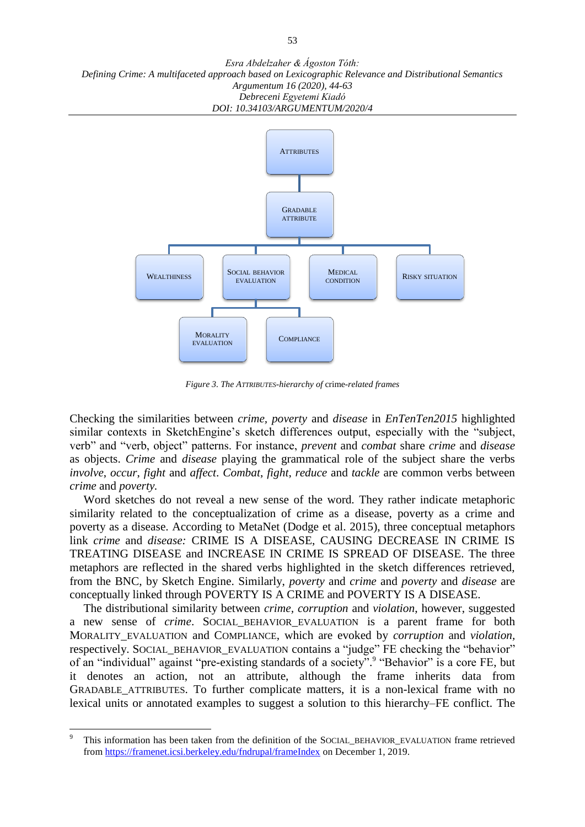

*Figure 3. The ATTRIBUTES-hierarchy of* crime*-related frames*

Checking the similarities between *crime, poverty* and *disease* in *EnTenTen2015* highlighted similar contexts in SketchEngine's sketch differences output, especially with the "subject, verb" and "verb, object" patterns. For instance, *prevent* and *combat* share *crime* and *disease*  as objects. *Crime* and *disease* playing the grammatical role of the subject share the verbs *involve*, *occur*, *fight* and *affect*. *Combat*, *fight*, *reduce* and *tackle* are common verbs between *crime* and *poverty.* 

Word sketches do not reveal a new sense of the word. They rather indicate metaphoric similarity related to the conceptualization of crime as a disease, poverty as a crime and poverty as a disease. According to MetaNet (Dodge et al. 2015), three conceptual metaphors link *crime* and *disease:* CRIME IS A DISEASE, CAUSING DECREASE IN CRIME IS TREATING DISEASE and INCREASE IN CRIME IS SPREAD OF DISEASE. The three metaphors are reflected in the shared verbs highlighted in the sketch differences retrieved, from the BNC, by Sketch Engine. Similarly, *poverty* and *crime* and *poverty* and *disease* are conceptually linked through POVERTY IS A CRIME and POVERTY IS A DISEASE.

The distributional similarity between *crime, corruption* and *violation*, however, suggested a new sense of *crime*. SOCIAL\_BEHAVIOR\_EVALUATION is a parent frame for both MORALITY\_EVALUATION and COMPLIANCE, which are evoked by *corruption* and *violation,*  respectively. SOCIAL\_BEHAVIOR\_EVALUATION contains a "judge" FE checking the "behavior" of an "individual" against "pre-existing standards of a society". "Behavior" is a core FE, but it denotes an action, not an attribute, although the frame inherits data from GRADABLE\_ATTRIBUTES. To further complicate matters, it is a non-lexical frame with no lexical units or annotated examples to suggest a solution to this hierarchy–FE conflict. The

 $\overline{9}$ This information has been taken from the definition of the SOCIAL\_BEHAVIOR\_EVALUATION frame retrieved from<https://framenet.icsi.berkeley.edu/fndrupal/frameIndex> on December 1, 2019.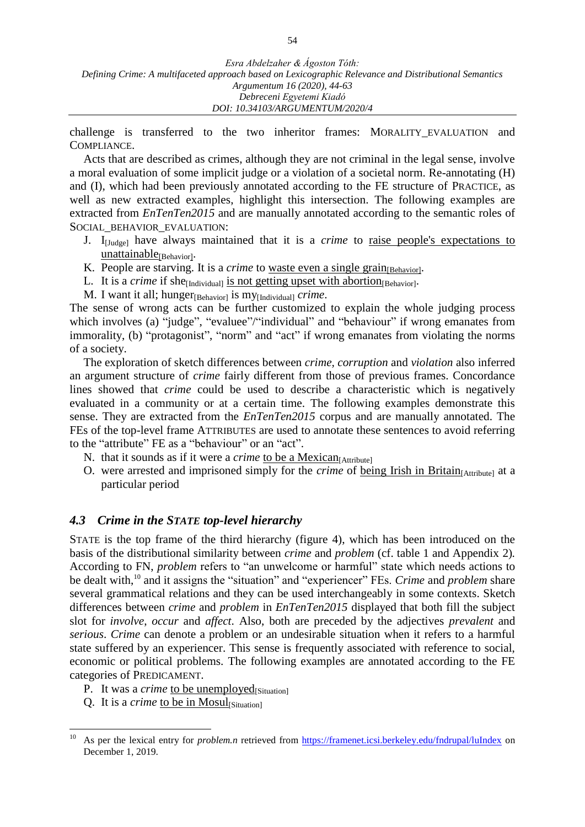challenge is transferred to the two inheritor frames: MORALITY\_EVALUATION and COMPLIANCE.

Acts that are described as crimes, although they are not criminal in the legal sense, involve a moral evaluation of some implicit judge or a violation of a societal norm. Re-annotating (H) and (I), which had been previously annotated according to the FE structure of PRACTICE, as well as new extracted examples, highlight this intersection. The following examples are extracted from *EnTenTen2015* and are manually annotated according to the semantic roles of SOCIAL\_BEHAVIOR\_EVALUATION:

- J. I[Judge] have always maintained that it is a *crime* to raise people's expectations to **unattainable**[Behavior]·
- K. People are starving. It is a *crime* to <u>waste even a single grain</u><sub>[Behavior]</sub>.
- L. It is a *crime* if she<sub>[Individual] is not getting upset with abortion<sub>[Behavior]</sub>.</sub>
- M. I want it all; hunger<sub>[Behavior]</sub> is my<sub>[Individual]</sub> *crime*.

The sense of wrong acts can be further customized to explain the whole judging process which involves (a) "judge", "evaluee"/"individual" and "behaviour" if wrong emanates from immorality, (b) "protagonist", "norm" and "act" if wrong emanates from violating the norms of a society.

The exploration of sketch differences between *crime, corruption* and *violation* also inferred an argument structure of *crime* fairly different from those of previous frames. Concordance lines showed that *crime* could be used to describe a characteristic which is negatively evaluated in a community or at a certain time. The following examples demonstrate this sense. They are extracted from the *EnTenTen2015* corpus and are manually annotated. The FEs of the top-level frame ATTRIBUTES are used to annotate these sentences to avoid referring to the "attribute" FE as a "behaviour" or an "act".

- N. that it sounds as if it were a *crime* to be a Mexican<sub>[Attribute]</sub>
- O. were arrested and imprisoned simply for the *crime* of <u>being Irish in Britain</u><sub>[Attribute]</sub> at a particular period

#### *4.3 Crime in the STATE top-level hierarchy*

STATE is the top frame of the third hierarchy (figure 4), which has been introduced on the basis of the distributional similarity between *crime* and *problem* (cf. table 1 and Appendix 2)*.*  According to FN, *problem* refers to "an unwelcome or harmful" state which needs actions to be dealt with, <sup>10</sup> and it assigns the "situation" and "experiencer" FEs. *Crime* and *problem* share several grammatical relations and they can be used interchangeably in some contexts. Sketch differences between *crime* and *problem* in *EnTenTen2015* displayed that both fill the subject slot for *involve*, *occur* and *affect*. Also, both are preceded by the adjectives *prevalent* and *serious*. *Crime* can denote a problem or an undesirable situation when it refers to a harmful state suffered by an experiencer. This sense is frequently associated with reference to social, economic or political problems. The following examples are annotated according to the FE categories of PREDICAMENT.

- P. It was a *crime* to be unemployed<sub>[Situation]</sub>
- Q. It is a *crime* to be in Mosul<sub>[Situation]</sub>

 $10\,$ As per the lexical entry for *problem.n* retrieved from<https://framenet.icsi.berkeley.edu/fndrupal/luIndex> on December 1, 2019.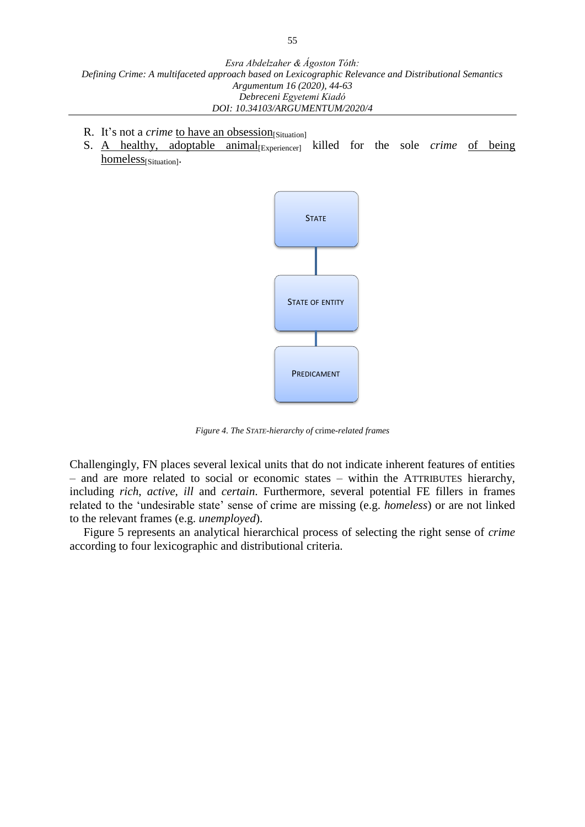- R. It's not a *crime* to have an obsession[Situation]
- S. A healthy, adoptable animal<sub>[Experiencer]</sub> killed for the sole *crime* of being homeless<sub>[Situation]</sub>.



*Figure 4. The STATE-hierarchy of* crime*-related frames*

Challengingly, FN places several lexical units that do not indicate inherent features of entities – and are more related to social or economic states – within the ATTRIBUTES hierarchy, including *rich*, *active*, *ill* and *certain*. Furthermore, several potential FE fillers in frames related to the 'undesirable state' sense of crime are missing (e.g. *homeless*) or are not linked to the relevant frames (e.g. *unemployed*).

Figure 5 represents an analytical hierarchical process of selecting the right sense of *crime* according to four lexicographic and distributional criteria.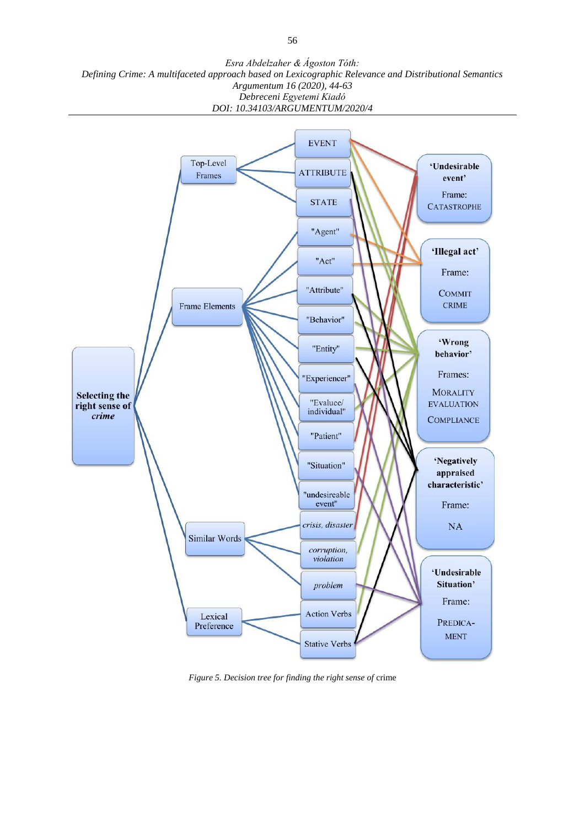

*Figure 5. Decision tree for finding the right sense of* crime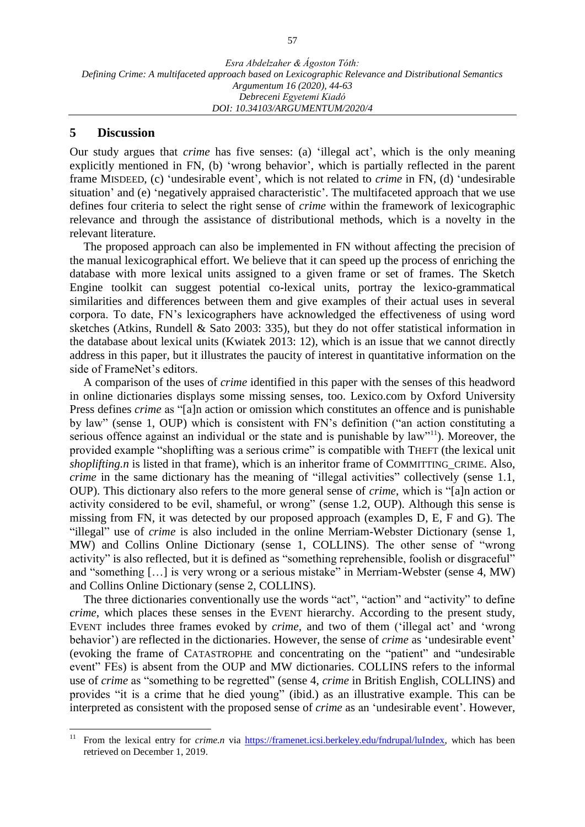#### **5 Discussion**

Our study argues that *crime* has five senses: (a) 'illegal act', which is the only meaning explicitly mentioned in FN, (b) 'wrong behavior', which is partially reflected in the parent frame MISDEED, (c) 'undesirable event', which is not related to *crime* in FN, (d) 'undesirable situation' and (e) 'negatively appraised characteristic'. The multifaceted approach that we use defines four criteria to select the right sense of *crime* within the framework of lexicographic relevance and through the assistance of distributional methods, which is a novelty in the relevant literature.

The proposed approach can also be implemented in FN without affecting the precision of the manual lexicographical effort. We believe that it can speed up the process of enriching the database with more lexical units assigned to a given frame or set of frames. The Sketch Engine toolkit can suggest potential co-lexical units, portray the lexico-grammatical similarities and differences between them and give examples of their actual uses in several corpora. To date, FN's lexicographers have acknowledged the effectiveness of using word sketches (Atkins, Rundell & Sato 2003: 335), but they do not offer statistical information in the database about lexical units (Kwiatek 2013: 12), which is an issue that we cannot directly address in this paper, but it illustrates the paucity of interest in quantitative information on the side of FrameNet's editors.

A comparison of the uses of *crime* identified in this paper with the senses of this headword in online dictionaries displays some missing senses, too. Lexico.com by Oxford University Press defines *crime* as "[a]n action or omission which constitutes an offence and is punishable by law" (sense 1, OUP) which is consistent with FN's definition ("an action constituting a serious offence against an individual or the state and is punishable by law"<sup>11</sup>). Moreover, the provided example "shoplifting was a serious crime" is compatible with THEFT (the lexical unit *shoplifting.n* is listed in that frame), which is an inheritor frame of COMMITTING\_CRIME. Also, *crime* in the same dictionary has the meaning of "illegal activities" collectively (sense 1.1, OUP). This dictionary also refers to the more general sense of *crime*, which is "[a]n action or activity considered to be evil, shameful, or wrong" (sense 1.2, OUP). Although this sense is missing from FN, it was detected by our proposed approach (examples D, E, F and G). The "illegal" use of *crime* is also included in the online Merriam-Webster Dictionary (sense 1, MW) and Collins Online Dictionary (sense 1, COLLINS). The other sense of "wrong activity" is also reflected, but it is defined as "something reprehensible, foolish or disgraceful" and "something […] is very wrong or a serious mistake" in Merriam-Webster (sense 4, MW) and Collins Online Dictionary (sense 2, COLLINS).

The three dictionaries conventionally use the words "act", "action" and "activity" to define *crime*, which places these senses in the EVENT hierarchy. According to the present study, EVENT includes three frames evoked by *crime,* and two of them ('illegal act' and 'wrong behavior') are reflected in the dictionaries. However, the sense of *crime* as 'undesirable event' (evoking the frame of CATASTROPHE and concentrating on the "patient" and "undesirable event" FEs) is absent from the OUP and MW dictionaries. COLLINS refers to the informal use of *crime* as "something to be regretted" (sense 4, *crime* in British English, COLLINS) and provides "it is a crime that he died young" (ibid.) as an illustrative example. This can be interpreted as consistent with the proposed sense of *crime* as an 'undesirable event'. However,

 $11\,$ <sup>11</sup> From the lexical entry for *crime.n* via [https://framenet.icsi.berkeley.edu/fndrupal/luIndex,](https://framenet.icsi.berkeley.edu/fndrupal/luIndex) which has been retrieved on December 1, 2019.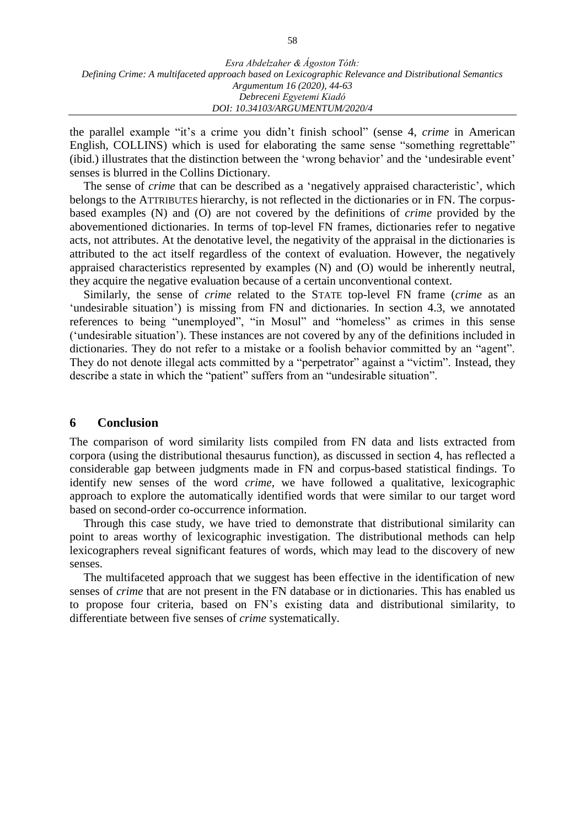| Esra Abdelzaher & Ágoston Tóth:                                                                       |
|-------------------------------------------------------------------------------------------------------|
| Defining Crime: A multifaceted approach based on Lexicographic Relevance and Distributional Semantics |
| Argumentum 16 (2020), 44-63                                                                           |
| Debreceni Egyetemi Kiadó                                                                              |
| DOI: 10.34103/ARGUMENTUM/2020/4                                                                       |

the parallel example "it's a crime you didn't finish school" (sense 4, *crime* in American English, COLLINS) which is used for elaborating the same sense "something regrettable" (ibid.) illustrates that the distinction between the 'wrong behavior' and the 'undesirable event' senses is blurred in the Collins Dictionary.

The sense of *crime* that can be described as a 'negatively appraised characteristic', which belongs to the ATTRIBUTES hierarchy, is not reflected in the dictionaries or in FN. The corpusbased examples (N) and (O) are not covered by the definitions of *crime* provided by the abovementioned dictionaries. In terms of top-level FN frames, dictionaries refer to negative acts, not attributes. At the denotative level, the negativity of the appraisal in the dictionaries is attributed to the act itself regardless of the context of evaluation. However, the negatively appraised characteristics represented by examples (N) and (O) would be inherently neutral, they acquire the negative evaluation because of a certain unconventional context.

Similarly, the sense of *crime* related to the STATE top-level FN frame (*crime* as an 'undesirable situation') is missing from FN and dictionaries. In section 4.3, we annotated references to being "unemployed", "in Mosul" and "homeless" as crimes in this sense ('undesirable situation'). These instances are not covered by any of the definitions included in dictionaries. They do not refer to a mistake or a foolish behavior committed by an "agent". They do not denote illegal acts committed by a "perpetrator" against a "victim". Instead, they describe a state in which the "patient" suffers from an "undesirable situation".

#### **6 Conclusion**

The comparison of word similarity lists compiled from FN data and lists extracted from corpora (using the distributional thesaurus function), as discussed in section 4, has reflected a considerable gap between judgments made in FN and corpus-based statistical findings. To identify new senses of the word *crime*, we have followed a qualitative, lexicographic approach to explore the automatically identified words that were similar to our target word based on second-order co-occurrence information.

Through this case study, we have tried to demonstrate that distributional similarity can point to areas worthy of lexicographic investigation. The distributional methods can help lexicographers reveal significant features of words, which may lead to the discovery of new senses.

The multifaceted approach that we suggest has been effective in the identification of new senses of *crime* that are not present in the FN database or in dictionaries. This has enabled us to propose four criteria, based on FN's existing data and distributional similarity, to differentiate between five senses of *crime* systematically.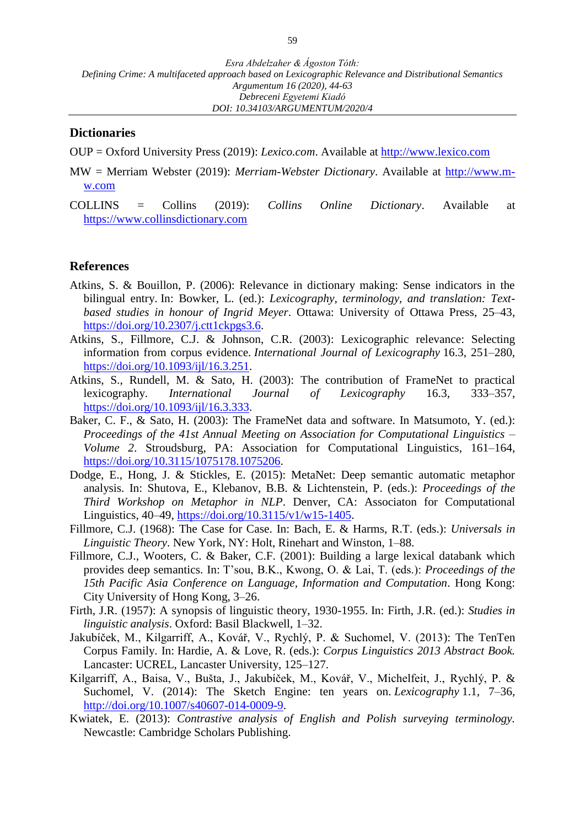#### **Dictionaries**

- OUP = Oxford University Press (2019): *Lexico.com*. Available at [http://www.lexico.com](http://www.lexico.com/)
- MW = Merriam Webster (2019): *Merriam-Webster Dictionary*. Available at [http://www.m](http://www.m-w.com/)[w.com](http://www.m-w.com/)
- COLLINS = Collins (2019): *Collins Online Dictionary*. Available at [https://www.collinsdictionary.com](https://www.collinsdictionary.com/)

#### **References**

- Atkins, S. & Bouillon, P. (2006): Relevance in dictionary making: Sense indicators in the bilingual entry. In: Bowker, L. (ed.): *Lexicography, terminology, and translation: Textbased studies in honour of Ingrid Meyer*. Ottawa: University of Ottawa Press, 25–43, [https://doi.org/10.2307/j.ctt1ckpgs3.6.](https://doi.org/10.2307/j.ctt1ckpgs3.6)
- Atkins, S., Fillmore, C.J. & Johnson, C.R. (2003): Lexicographic relevance: Selecting information from corpus evidence. *International Journal of Lexicography* 16.3, 251–280, [https://doi.org/10.1093/ijl/16.3.251.](https://doi.org/10.1093/ijl/16.3.251)
- Atkins, S., Rundell, M. & Sato, H. (2003): The contribution of FrameNet to practical lexicography. *International Journal of Lexicography* 16.3, 333–357, [https://doi.org/10.1093/ijl/16.3.333.](https://doi.org/10.1093/ijl/16.3.333)
- Baker, C. F., & Sato, H. (2003): The FrameNet data and software. In Matsumoto, Y. (ed.): *Proceedings of the 41st Annual Meeting on Association for Computational Linguistics – Volume 2*. Stroudsburg, PA: Association for Computational Linguistics, 161–164, [https://doi.org/10.3115/1075178.1075206.](https://doi.org/10.3115/1075178.1075206)
- Dodge, E., Hong, J. & Stickles, E. (2015): MetaNet: Deep semantic automatic metaphor analysis. In: Shutova, E., Klebanov, B.B. & Lichtenstein, P. (eds.): *Proceedings of the Third Workshop on Metaphor in NLP*. Denver, CA: Associaton for Computational Linguistics, 40–49, [https://doi.org/10.3115/v1/w15-1405.](https://doi.org/10.3115/v1/w15-1405)
- Fillmore, C.J. (1968): The Case for Case. In: Bach, E. & Harms, R.T. (eds.): *Universals in Linguistic Theory*. New York, NY: Holt, Rinehart and Winston, 1–88.
- Fillmore, C.J., Wooters, C. & Baker, C.F. (2001): Building a large lexical databank which provides deep semantics. In: T'sou, B.K., Kwong, O. & Lai, T. (eds.): *Proceedings of the 15th Pacific Asia Conference on Language, Information and Computation*. Hong Kong: City University of Hong Kong, 3–26.
- Firth, J.R. (1957): A synopsis of linguistic theory, 1930-1955. In: Firth, J.R. (ed.): *Studies in linguistic analysis*. Oxford: Basil Blackwell, 1–32.
- Jakubíček, M., Kilgarriff, A., Kovář, V., Rychlý, P. & Suchomel, V. (2013): The TenTen Corpus Family. In: Hardie, A. & Love, R. (eds.): *Corpus Linguistics 2013 Abstract Book.*  Lancaster: UCREL, Lancaster University, 125–127.
- Kilgarriff, A., Baisa, V., Bušta, J., Jakubíček, M., Kovář, V., Michelfeit, J., Rychlý, P. & Suchomel, V. (2014): The Sketch Engine: ten years on. *Lexicography* 1.1, 7–36, [http://doi.org/10.1007/s40607-014-0009-9.](http://doi.org/10.1007/s40607-014-0009-9)
- Kwiatek, E. (2013): *Contrastive analysis of English and Polish surveying terminology.* Newcastle: Cambridge Scholars Publishing.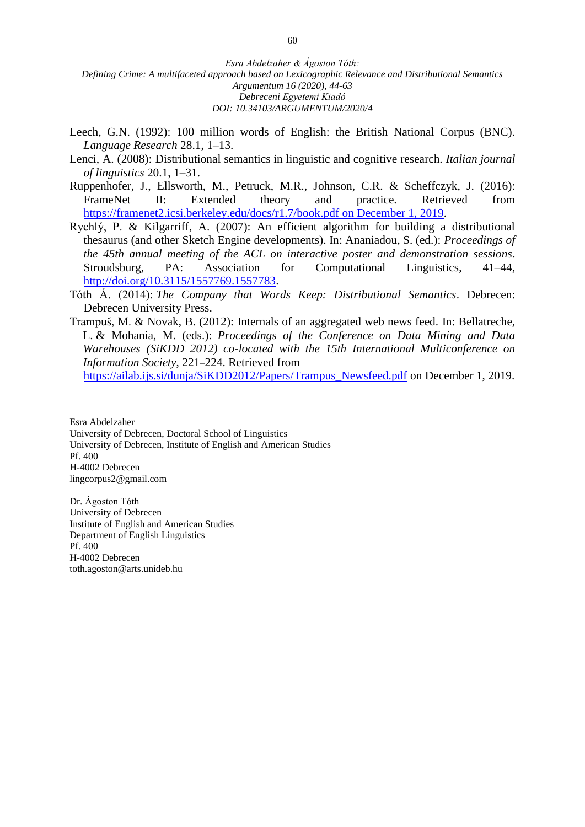- Leech, G.N. (1992): 100 million words of English: the British National Corpus (BNC). *Language Research* 28.1, 1–13.
- Lenci, A. (2008): Distributional semantics in linguistic and cognitive research. *Italian journal of linguistics* 20.1, 1–31.
- Ruppenhofer, J., Ellsworth, M., Petruck, M.R., Johnson, C.R. & Scheffczyk, J. (2016): FrameNet II: Extended theory and practice. Retrieved from [https://framenet2.icsi.berkeley.edu/docs/r1.7/book.pdf](https://framenet2.icsi.berkeley.edu/docs/r1.7/book.pdf%20on%20December%201,%202019) on December 1, 2019.
- Rychlý, P. & Kilgarriff, A. (2007): An efficient algorithm for building a distributional thesaurus (and other Sketch Engine developments). In: Ananiadou, S. (ed.): *Proceedings of the 45th annual meeting of the ACL on interactive poster and demonstration sessions*. Stroudsburg, PA: Association for Computational Linguistics, 41–44, [http://doi.org/10.3115/1557769.1557783.](http://doi.org/10.3115/1557769.1557783)
- Tóth Á. (2014): *The Company that Words Keep: Distributional Semantics*. Debrecen: Debrecen University Press.
- Trampuš, M. & Novak, B. (2012): Internals of an aggregated web news feed. In: Bellatreche, L. & Mohania, M. (eds.): *Proceedings of the Conference on Data Mining and Data Warehouses (SiKDD 2012) co-located with the 15th International Multiconference on Information Society*, 221–224. Retrieved from

[https://ailab.ijs.si/dunja/SiKDD2012/Papers/Trampus\\_Newsfeed.pdf](https://ailab.ijs.si/dunja/SiKDD2012/Papers/Trampus_Newsfeed.pdf) on December 1, 2019.

Esra Abdelzaher University of Debrecen, Doctoral School of Linguistics University of Debrecen, Institute of English and American Studies Pf. 400 H-4002 Debrecen lingcorpus2@gmail.com

Dr. Ágoston Tóth University of Debrecen Institute of English and American Studies Department of English Linguistics Pf. 400 H-4002 Debrecen toth.agoston@arts.unideb.hu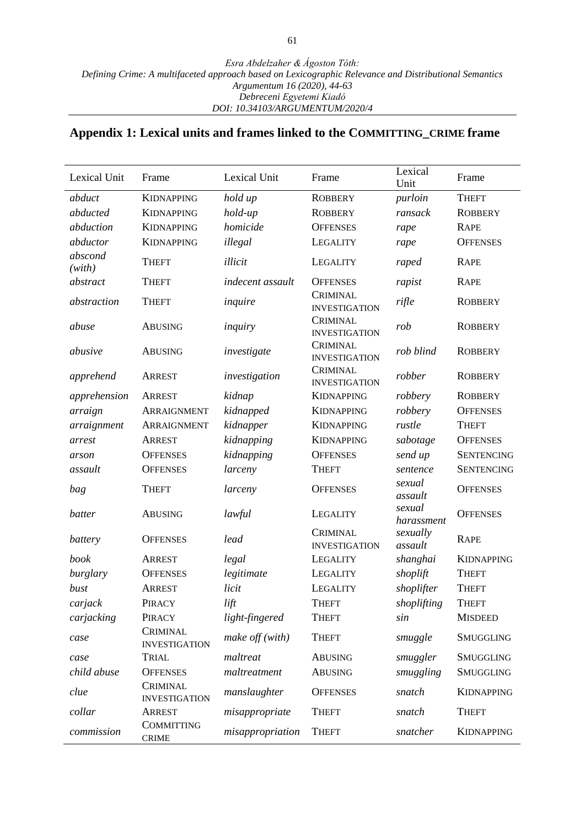## **Appendix 1: Lexical units and frames linked to the COMMITTING\_CRIME frame**

| Lexical Unit      | Frame                                   | Lexical Unit      | Frame                            | Lexical<br>Unit      | Frame             |  |
|-------------------|-----------------------------------------|-------------------|----------------------------------|----------------------|-------------------|--|
| abduct            | <b>KIDNAPPING</b>                       | hold up           | <b>ROBBERY</b>                   | purloin              | <b>THEFT</b>      |  |
| abducted          | <b>KIDNAPPING</b>                       | hold-up           | <b>ROBBERY</b>                   | ransack              | <b>ROBBERY</b>    |  |
| abduction         | <b>KIDNAPPING</b>                       | homicide          | <b>OFFENSES</b>                  | rape                 | <b>RAPE</b>       |  |
| abductor          | <b>KIDNAPPING</b>                       | illegal           | LEGALITY                         | rape                 | <b>OFFENSES</b>   |  |
| abscond<br>(with) | <b>THEFT</b>                            | illicit           | LEGALITY                         | raped                | <b>RAPE</b>       |  |
| abstract          | <b>THEFT</b>                            | indecent assault  | <b>OFFENSES</b>                  | rapist               | <b>RAPE</b>       |  |
| abstraction       | <b>THEFT</b>                            | inquire           | CRIMINAL<br><b>INVESTIGATION</b> | rifle                | <b>ROBBERY</b>    |  |
| abuse             | <b>ABUSING</b>                          | inquiry           | CRIMINAL<br><b>INVESTIGATION</b> | rob                  | <b>ROBBERY</b>    |  |
| abusive           | <b>ABUSING</b>                          | investigate       | CRIMINAL<br><b>INVESTIGATION</b> | rob blind            | <b>ROBBERY</b>    |  |
| apprehend         | <b>ARREST</b>                           | investigation     | CRIMINAL<br><b>INVESTIGATION</b> | robber               | <b>ROBBERY</b>    |  |
| apprehension      | ARREST                                  | kidnap            | <b>KIDNAPPING</b>                | robbery              | <b>ROBBERY</b>    |  |
| arraign           | ARRAIGNMENT                             | kidnapped         | <b>KIDNAPPING</b>                | robbery              | <b>OFFENSES</b>   |  |
| arraignment       | ARRAIGNMENT                             | kidnapper         | <b>KIDNAPPING</b>                | rustle               | <b>THEFT</b>      |  |
| arrest            | <b>ARREST</b>                           | kidnapping        | <b>KIDNAPPING</b>                | sabotage             | <b>OFFENSES</b>   |  |
| arson             | <b>OFFENSES</b>                         | kidnapping        | <b>OFFENSES</b>                  | send up              | <b>SENTENCING</b> |  |
| assault           | <b>OFFENSES</b>                         | larceny           | <b>THEFT</b>                     | sentence             | <b>SENTENCING</b> |  |
| bag               | <b>THEFT</b>                            | larceny           | <b>OFFENSES</b>                  | sexual<br>assault    | <b>OFFENSES</b>   |  |
| batter            | <b>ABUSING</b>                          | lawful            | LEGALITY                         | sexual<br>harassment | <b>OFFENSES</b>   |  |
| battery           | <b>OFFENSES</b>                         | lead              | CRIMINAL<br><b>INVESTIGATION</b> | sexually<br>assault  | <b>RAPE</b>       |  |
| book              | <b>ARREST</b>                           | legal             | LEGALITY                         | shanghai             | <b>KIDNAPPING</b> |  |
| burglary          | <b>OFFENSES</b>                         | legitimate        | LEGALITY                         | shoplift             | <b>THEFT</b>      |  |
| bust              | <b>ARREST</b>                           | licit             | <b>LEGALITY</b>                  | shoplifter           | <b>THEFT</b>      |  |
| carjack           | PIRACY                                  | lift              | <b>THEFT</b>                     | shoplifting          | <b>THEFT</b>      |  |
| carjacking        | PIRACY                                  | light-fingered    | <b>THEFT</b>                     | sin                  | <b>MISDEED</b>    |  |
| case              | <b>CRIMINAL</b><br><b>INVESTIGATION</b> | make $off$ (with) | <b>THEFT</b>                     | smuggle              | <b>SMUGGLING</b>  |  |
| case              | TRIAL                                   | maltreat          | <b>ABUSING</b>                   | smuggler             | <b>SMUGGLING</b>  |  |
| child abuse       | <b>OFFENSES</b>                         | maltreatment      | <b>ABUSING</b>                   | smuggling            | <b>SMUGGLING</b>  |  |
| clue              | <b>CRIMINAL</b><br><b>INVESTIGATION</b> | manslaughter      | <b>OFFENSES</b>                  | snatch               | <b>KIDNAPPING</b> |  |
| collar            | <b>ARREST</b>                           | misappropriate    | <b>THEFT</b>                     | snatch               | <b>THEFT</b>      |  |
| commission        | <b>COMMITTING</b><br><b>CRIME</b>       | misappropriation  | <b>THEFT</b>                     | snatcher             | <b>KIDNAPPING</b> |  |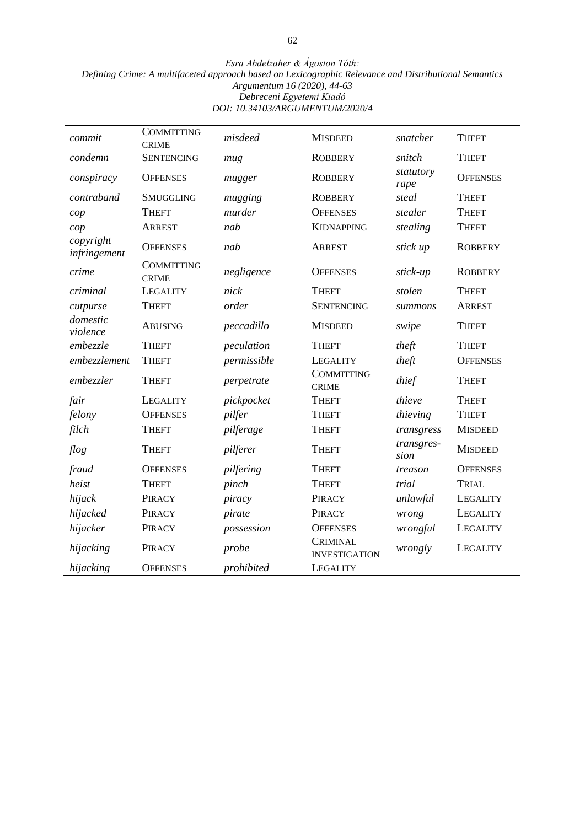*Esra Abdelzaher & Ágoston Tóth:*

*Defining Crime: A multifaceted approach based on Lexicographic Relevance and Distributional Semantics*

*Argumentum 16 (2020), 44-63*

*Debreceni Egyetemi Kiadó DOI: 10.34103/ARGUMENTUM/2020/4*

| commit                    | <b>COMMITTING</b><br><b>CRIME</b> | misdeed     | <b>MISDEED</b>                          | snatcher           | <b>THEFT</b>    |  |
|---------------------------|-----------------------------------|-------------|-----------------------------------------|--------------------|-----------------|--|
| condemn                   | <b>SENTENCING</b>                 | mug         | <b>ROBBERY</b>                          | snitch             | <b>THEFT</b>    |  |
| conspiracy                | <b>OFFENSES</b>                   | mugger      | <b>ROBBERY</b>                          | statutory<br>rape  | <b>OFFENSES</b> |  |
| contraband                | <b>SMUGGLING</b>                  | mugging     | <b>ROBBERY</b>                          | steal              | <b>THEFT</b>    |  |
| cop                       | <b>THEFT</b>                      | murder      | <b>OFFENSES</b>                         | stealer            | <b>THEFT</b>    |  |
| cop                       | <b>ARREST</b>                     | nab         | <b>KIDNAPPING</b>                       | stealing           | <b>THEFT</b>    |  |
| copyright<br>infringement | <b>OFFENSES</b>                   | nab         | <b>ARREST</b>                           | stick up           | <b>ROBBERY</b>  |  |
| crime                     | <b>COMMITTING</b><br><b>CRIME</b> | negligence  | <b>OFFENSES</b>                         | stick-up           | <b>ROBBERY</b>  |  |
| criminal                  | <b>LEGALITY</b>                   | nick        | <b>THEFT</b>                            | stolen             | <b>THEFT</b>    |  |
| cutpurse                  | <b>THEFT</b>                      | order       | <b>SENTENCING</b>                       | summons            | <b>ARREST</b>   |  |
| domestic<br>violence      | <b>ABUSING</b>                    | peccadillo  | <b>MISDEED</b>                          | swipe              | <b>THEFT</b>    |  |
| embezzle                  | <b>THEFT</b>                      | peculation  | <b>THEFT</b>                            | theft              | <b>THEFT</b>    |  |
| embezzlement              | <b>THEFT</b>                      | permissible | LEGALITY                                | theft              | <b>OFFENSES</b> |  |
| embezzler                 | <b>THEFT</b>                      | perpetrate  | <b>COMMITTING</b><br><b>CRIME</b>       | thief              | <b>THEFT</b>    |  |
| fair                      | <b>LEGALITY</b>                   | pickpocket  | <b>THEFT</b>                            | thieve             | <b>THEFT</b>    |  |
| felony                    | <b>OFFENSES</b>                   | pilfer      | <b>THEFT</b>                            | thieving           | <b>THEFT</b>    |  |
| filch                     | <b>THEFT</b>                      | pilferage   | <b>THEFT</b>                            | transgress         | <b>MISDEED</b>  |  |
| flog                      | <b>THEFT</b>                      | pilferer    | <b>THEFT</b>                            | transgres-<br>sion | <b>MISDEED</b>  |  |
| fraud                     | <b>OFFENSES</b>                   | pilfering   | <b>THEFT</b>                            | treason            | <b>OFFENSES</b> |  |
| heist                     | <b>THEFT</b>                      | pinch       | <b>THEFT</b>                            | trial              | TRIAL           |  |
| hijack                    | PIRACY                            | piracy      | PIRACY                                  | unlawful           | <b>LEGALITY</b> |  |
| hijacked                  | PIRACY                            | pirate      | PIRACY                                  | wrong              | LEGALITY        |  |
| hijacker                  | PIRACY                            | possession  | <b>OFFENSES</b>                         | wrongful           | LEGALITY        |  |
| hijacking                 | PIRACY                            | probe       | <b>CRIMINAL</b><br><b>INVESTIGATION</b> | wrongly            | LEGALITY        |  |
| hijacking                 | <b>OFFENSES</b>                   | prohibited  | LEGALITY                                |                    |                 |  |